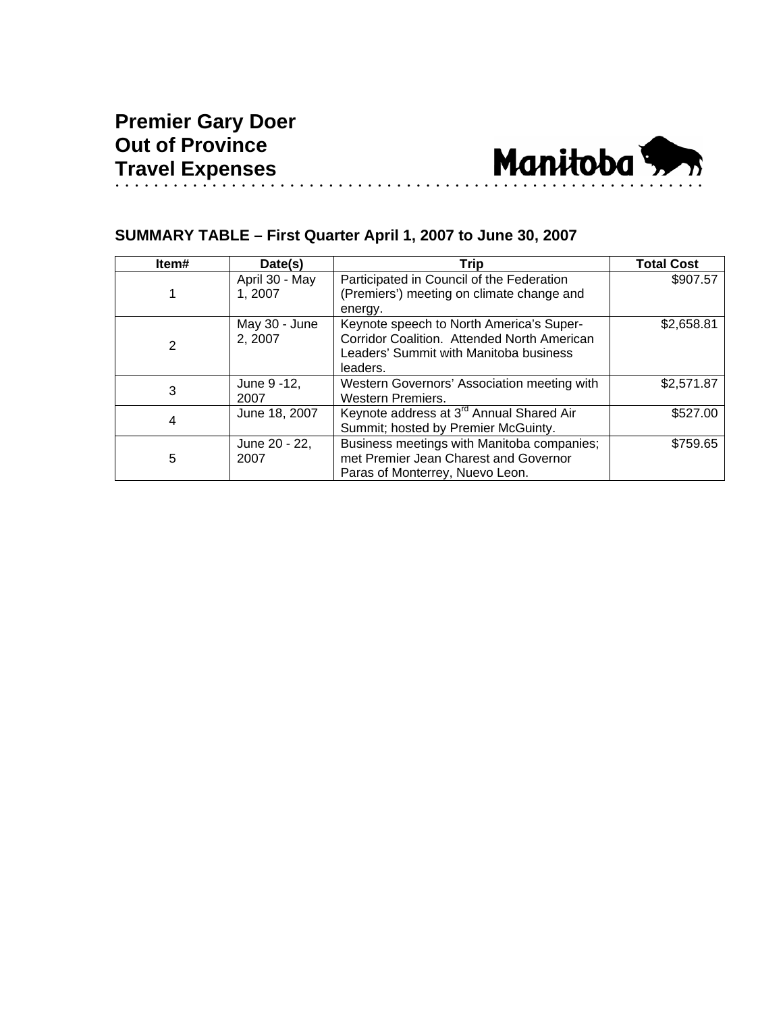

## **SUMMARY TABLE – First Quarter April 1, 2007 to June 30, 2007**

| Item# | Date(s)                  | Trip                                                                                                                                          | <b>Total Cost</b> |
|-------|--------------------------|-----------------------------------------------------------------------------------------------------------------------------------------------|-------------------|
|       | April 30 - May<br>1.2007 | Participated in Council of the Federation<br>(Premiers') meeting on climate change and<br>energy.                                             | \$907.57          |
| 2     | May 30 - June<br>2, 2007 | Keynote speech to North America's Super-<br>Corridor Coalition. Attended North American<br>Leaders' Summit with Manitoba business<br>leaders. | \$2,658.81        |
| 3     | June 9 - 12,<br>2007     | Western Governors' Association meeting with<br><b>Western Premiers.</b>                                                                       | \$2,571.87        |
| 4     | June 18, 2007            | Keynote address at 3 <sup>rd</sup> Annual Shared Air<br>Summit; hosted by Premier McGuinty.                                                   | \$527.00          |
| 5     | June 20 - 22,<br>2007    | Business meetings with Manitoba companies;<br>met Premier Jean Charest and Governor<br>Paras of Monterrey, Nuevo Leon.                        | \$759.65          |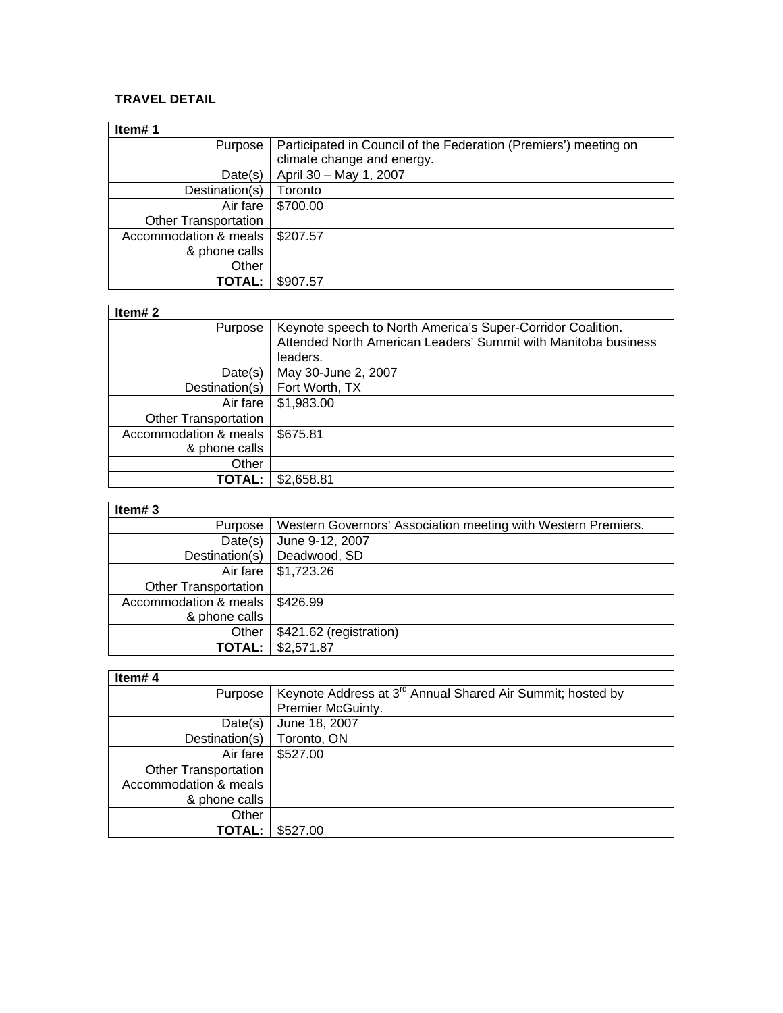## **TRAVEL DETAIL**

| Item#1                      |                                                                  |
|-----------------------------|------------------------------------------------------------------|
| Purpose                     | Participated in Council of the Federation (Premiers') meeting on |
|                             | climate change and energy.                                       |
| Date(s)                     | April 30 - May 1, 2007                                           |
| Destination(s)              | Toronto                                                          |
| Air fare                    | \$700.00                                                         |
| <b>Other Transportation</b> |                                                                  |
| Accommodation & meals       | \$207.57                                                         |
| & phone calls               |                                                                  |
| Other                       |                                                                  |
| TOTAL:                      | \$907.57                                                         |

| ۰. |  |
|----|--|

| Item#2                      |                                                                |
|-----------------------------|----------------------------------------------------------------|
| Purpose                     | Keynote speech to North America's Super-Corridor Coalition.    |
|                             | Attended North American Leaders' Summit with Manitoba business |
|                             | leaders.                                                       |
| Date(s)                     | May 30-June 2, 2007                                            |
| Destination(s)              | Fort Worth, TX                                                 |
| Air fare                    | \$1,983.00                                                     |
| <b>Other Transportation</b> |                                                                |
| Accommodation & meals       | \$675.81                                                       |
| & phone calls               |                                                                |
| Other                       |                                                                |
| TOTAL:                      | \$2,658.81                                                     |

| . .<br>ŀ<br>L<br>- 1 |  |
|----------------------|--|

| $I = II + 3$                     |                                                               |
|----------------------------------|---------------------------------------------------------------|
| Purpose                          | Western Governors' Association meeting with Western Premiers. |
| Date(s)                          | June 9-12, 2007                                               |
| Destination(s)                   | Deadwood, SD                                                  |
|                                  | Air fare   \$1,723.26                                         |
| <b>Other Transportation</b>      |                                                               |
| Accommodation & meals   \$426.99 |                                                               |
| & phone calls                    |                                                               |
| Other                            | \$421.62 (registration)                                       |
|                                  | <b>TOTAL:   \$2,571.87</b>                                    |

 $\overline{\mathsf{I}}$ 

| Item#4                      |                                                                        |
|-----------------------------|------------------------------------------------------------------------|
| Purpose                     | Keynote Address at 3 <sup>rd</sup> Annual Shared Air Summit; hosted by |
|                             | Premier McGuinty.                                                      |
| Date(s)                     | June 18, 2007                                                          |
| Destination(s)              | Toronto, ON                                                            |
| Air fare                    | \$527.00                                                               |
| <b>Other Transportation</b> |                                                                        |
| Accommodation & meals       |                                                                        |
| & phone calls               |                                                                        |
| Other                       |                                                                        |
| <b>TOTAL:</b>               | \$527.00                                                               |